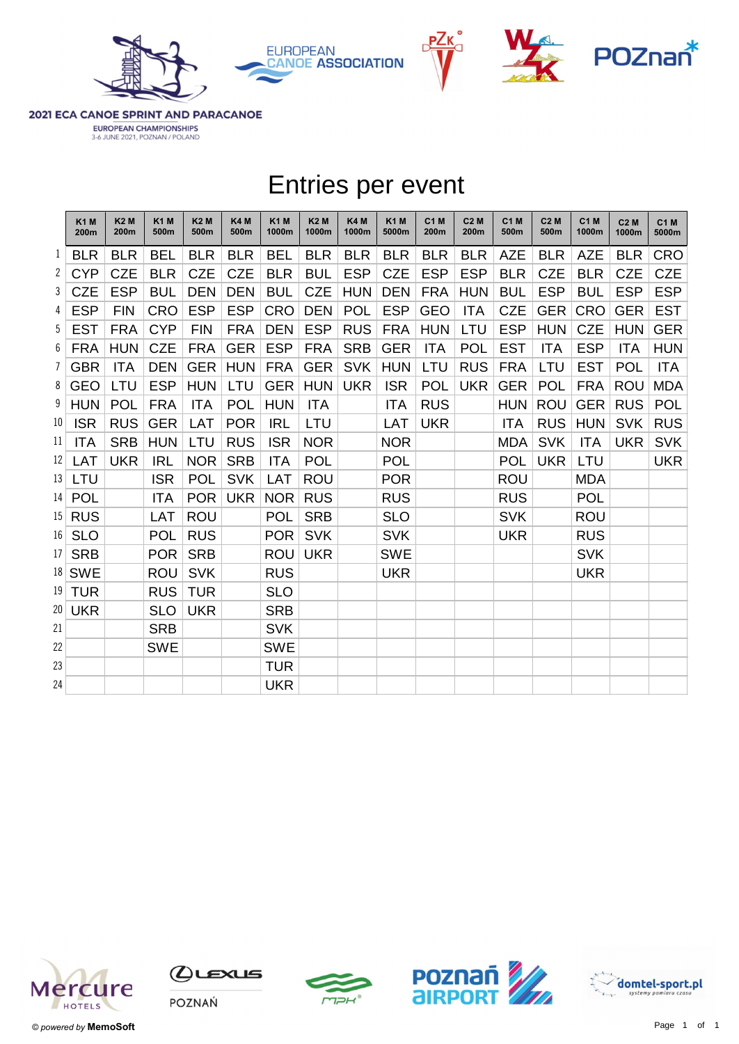







2021 ECA CANOE SPRINT AND PARACANOE

EUROPEAN CHAMPIONSHIPS 3-6 JUNE 2021, POZNAN / POLAND

|    |                          |                    |                     |                    |                         |                     |                     |                     | <b>Entries per event</b> |              |                     |                     |                          |                      |              |                      |
|----|--------------------------|--------------------|---------------------|--------------------|-------------------------|---------------------|---------------------|---------------------|--------------------------|--------------|---------------------|---------------------|--------------------------|----------------------|--------------|----------------------|
|    | K <sub>1</sub> M<br>200m | <b>K2M</b><br>200m | <b>K1 M</b><br>500m | <b>K2M</b><br>500m | K4 <sub>M</sub><br>500m | <b>K1M</b><br>1000m | <b>K2M</b><br>1000m | <b>K4M</b><br>1000m | <b>K1M</b><br>5000m      | C1 M<br>200m | <b>C2 M</b><br>200m | <b>C1 M</b><br>500m | C <sub>2</sub> M<br>500m | <b>C1 M</b><br>1000m | C2M<br>1000m | <b>C1 M</b><br>5000m |
|    | $1$ BLR                  | <b>BLR</b>         | <b>BEL</b>          | <b>BLR</b>         | <b>BLR</b>              | <b>BEL</b>          | <b>BLR</b>          | <b>BLR</b>          | <b>BLR</b>               | <b>BLR</b>   | <b>BLR</b>          | <b>AZE</b>          | <b>BLR</b>               | <b>AZE</b>           | <b>BLR</b>   | <b>CRO</b>           |
|    | $2$ CYP                  | <b>CZE</b>         | <b>BLR</b>          | <b>CZE</b>         | <b>CZE</b>              | <b>BLR</b>          | <b>BUL</b>          | <b>ESP</b>          | <b>CZE</b>               | <b>ESP</b>   | <b>ESP</b>          | <b>BLR</b>          | <b>CZE</b>               | <b>BLR</b>           | <b>CZE</b>   | <b>CZE</b>           |
| 3  | <b>CZE</b>               | <b>ESP</b>         | <b>BUL</b>          | <b>DEN</b>         | <b>DEN</b>              | <b>BUL</b>          | <b>CZE</b>          | <b>HUN</b>          | <b>DEN</b>               | <b>FRA</b>   | <b>HUN</b>          | <b>BUL</b>          | <b>ESP</b>               | <b>BUL</b>           | <b>ESP</b>   | <b>ESP</b>           |
| 4  | <b>ESP</b>               | <b>FIN</b>         | <b>CRO</b>          | <b>ESP</b>         | <b>ESP</b>              | <b>CRO</b>          | <b>DEN</b>          | <b>POL</b>          | <b>ESP</b>               | <b>GEO</b>   | <b>ITA</b>          | <b>CZE</b>          | <b>GER</b>               | <b>CRO</b>           | <b>GER</b>   | <b>EST</b>           |
|    | $5$ EST                  | <b>FRA</b>         | <b>CYP</b>          | <b>FIN</b>         | <b>FRA</b>              | <b>DEN</b>          | <b>ESP</b>          | <b>RUS</b>          | <b>FRA</b>               | <b>HUN</b>   | LTU                 | <b>ESP</b>          | <b>HUN</b>               | <b>CZE</b>           | <b>HUN</b>   | <b>GER</b>           |
| 6  | <b>FRA</b>               | <b>HUN</b>         | <b>CZE</b>          | <b>FRA</b>         | <b>GER</b>              | <b>ESP</b>          | <b>FRA</b>          | <b>SRB</b>          | <b>GER</b>               | <b>ITA</b>   | <b>POL</b>          | <b>EST</b>          | <b>ITA</b>               | <b>ESP</b>           | <b>ITA</b>   | <b>HUN</b>           |
|    | $7$ GBR                  | <b>ITA</b>         | <b>DEN</b>          | <b>GER</b>         | <b>HUN</b>              | FRA                 | <b>GER</b>          | <b>SVK</b>          | <b>HUN</b>               | LTU          | <b>RUS</b>          | <b>FRA</b>          | LTU                      | <b>EST</b>           | <b>POL</b>   | <b>ITA</b>           |
|    | $8$ GEO                  | LTU                | <b>ESP</b>          | <b>HUN</b>         | LTU                     | <b>GER</b>          | <b>HUN</b>          | <b>UKR</b>          | <b>ISR</b>               | <b>POL</b>   | <b>UKR</b>          | <b>GER</b>          | <b>POL</b>               | <b>FRA</b>           | <b>ROU</b>   | <b>MDA</b>           |
|    | $9$ HUN                  | POL                | <b>FRA</b>          | <b>ITA</b>         | <b>POL</b>              | <b>HUN</b>          | <b>ITA</b>          |                     | <b>ITA</b>               | <b>RUS</b>   |                     | <b>HUN</b>          | ROU                      | <b>GER</b>           | <b>RUS</b>   | <b>POL</b>           |
|    | 10 ISR                   | <b>RUS</b>         | <b>GER</b>          | <b>LAT</b>         | <b>POR</b>              | <b>IRL</b>          | LTU                 |                     | <b>LAT</b>               | <b>UKR</b>   |                     | <b>ITA</b>          | <b>RUS</b>               | <b>HUN</b>           | <b>SVK</b>   | <b>RUS</b>           |
| 11 | <b>ITA</b>               | <b>SRB</b>         | <b>HUN</b>          | LTU                | <b>RUS</b>              | <b>ISR</b>          | <b>NOR</b>          |                     | <b>NOR</b>               |              |                     | <b>MDA</b>          | <b>SVK</b>               | <b>ITA</b>           | <b>UKR</b>   | <b>SVK</b>           |
| 12 | LAT                      | <b>UKR</b>         | <b>IRL</b>          | <b>NOR</b>         | <b>SRB</b>              | <b>ITA</b>          | <b>POL</b>          |                     | <b>POL</b>               |              |                     | <b>POL</b>          | <b>UKR</b>               | LTU                  |              | <b>UKR</b>           |
|    | 13 LTU                   |                    | <b>ISR</b>          | <b>POL</b>         | <b>SVK</b>              | <b>LAT</b>          | <b>ROU</b>          |                     | <b>POR</b>               |              |                     | <b>ROU</b>          |                          | <b>MDA</b>           |              |                      |
|    | 14 POL                   |                    | <b>ITA</b>          | <b>POR</b>         | <b>UKR</b>              | <b>NOR</b>          | <b>RUS</b>          |                     | <b>RUS</b>               |              |                     | <b>RUS</b>          |                          | <b>POL</b>           |              |                      |
|    | 15 RUS                   |                    | LAT                 | <b>ROU</b>         |                         | <b>POL</b>          | <b>SRB</b>          |                     | <b>SLO</b>               |              |                     | <b>SVK</b>          |                          | <b>ROU</b>           |              |                      |
|    | 16 SLO                   |                    | <b>POL</b>          | <b>RUS</b>         |                         | <b>POR</b>          | <b>SVK</b>          |                     | <b>SVK</b>               |              |                     | <b>UKR</b>          |                          | <b>RUS</b>           |              |                      |
|    | $17$ SRB                 |                    | POR                 | <b>SRB</b>         |                         | <b>ROU</b>          | <b>UKR</b>          |                     | <b>SWE</b>               |              |                     |                     |                          | <b>SVK</b>           |              |                      |
|    | 18 SWE                   |                    | <b>ROU</b>          | <b>SVK</b>         |                         | <b>RUS</b>          |                     |                     | <b>UKR</b>               |              |                     |                     |                          | <b>UKR</b>           |              |                      |
|    | $19$ TUR                 |                    | <b>RUS</b>          | <b>TUR</b>         |                         | <b>SLO</b>          |                     |                     |                          |              |                     |                     |                          |                      |              |                      |
|    | 20 UKR                   |                    | <b>SLO</b>          | <b>UKR</b>         |                         | <b>SRB</b>          |                     |                     |                          |              |                     |                     |                          |                      |              |                      |
| 21 |                          |                    | <b>SRB</b>          |                    |                         | <b>SVK</b>          |                     |                     |                          |              |                     |                     |                          |                      |              |                      |
| 22 |                          |                    | <b>SWE</b>          |                    |                         | <b>SWE</b>          |                     |                     |                          |              |                     |                     |                          |                      |              |                      |
| 23 |                          |                    |                     |                    |                         | <b>TUR</b>          |                     |                     |                          |              |                     |                     |                          |                      |              |                      |
| 24 |                          |                    |                     |                    |                         | <b>UKR</b>          |                     |                     |                          |              |                     |                     |                          |                      |              |                      |